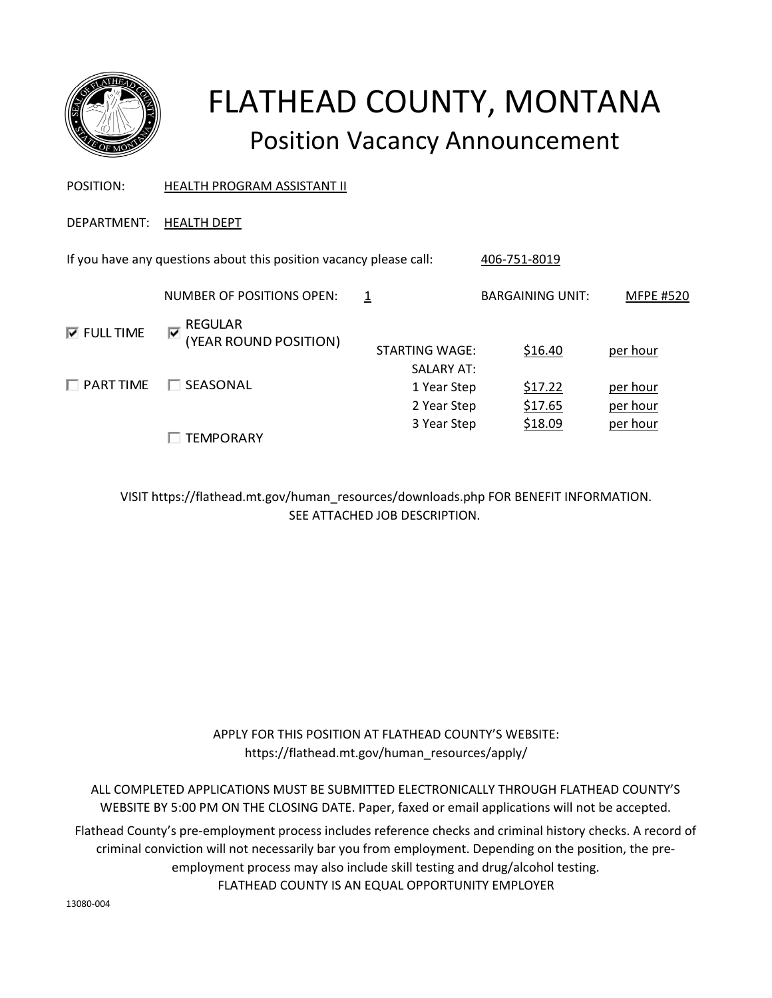

# FLATHEAD COUNTY, MONTANA Position Vacancy Announcement

POSITION: HEALTH PROGRAM ASSISTANT II

DEPARTMENT: HEALTH DEPT

If you have any questions about this position vacancy please call: 406-751-8019 NUMBER OF POSITIONS OPEN: 1 BARGAINING UNIT: MFPE #520  $⊓$  **FULL TIME** FULL TIME REGULAR<br>YEAR ROI)<br>PART TIME FISEASONA (YEAR ROUND POSITION)

□ SEASONAL

 $\Box$  TEMPORARY

STARTING WAGE:  $$16.40$  per hour SALARY AT: 1 Year Step \$17.22 per hour 2 Year Step \$17.65 per hour 3 Year Step \$18.09 per hour

VISIT https://flathead.mt.gov/human\_resources/downloads.php FOR BENEFIT INFORMATION. SEE ATTACHED JOB DESCRIPTION.

> APPLY FOR THIS POSITION AT FLATHEAD COUNTY'S WEBSITE: https://flathead.mt.gov/human\_resources/apply/

ALL COMPLETED APPLICATIONS MUST BE SUBMITTED ELECTRONICALLY THROUGH FLATHEAD COUNTY'S WEBSITE BY 5:00 PM ON THE CLOSING DATE. Paper, faxed or email applications will not be accepted.

FLATHEAD COUNTY IS AN EQUAL OPPORTUNITY EMPLOYER Flathead County's pre-employment process includes reference checks and criminal history checks. A record of criminal conviction will not necessarily bar you from employment. Depending on the position, the preemployment process may also include skill testing and drug/alcohol testing.

13080-004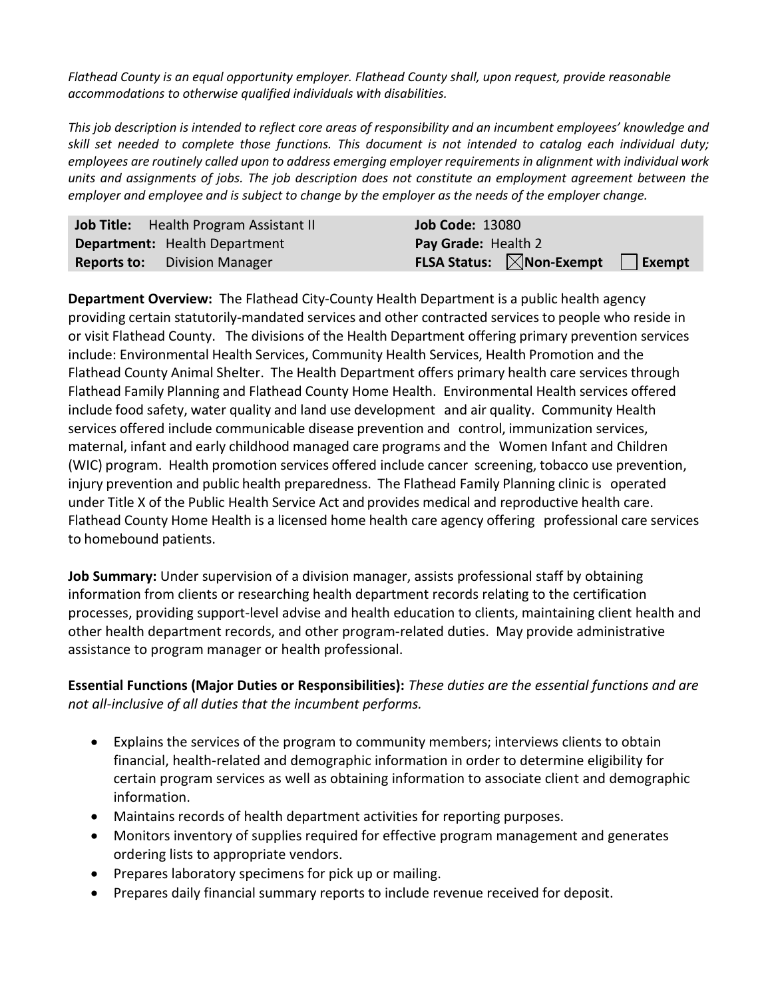*Flathead County is an equal opportunity employer. Flathead County shall, upon request, provide reasonable accommodations to otherwise qualified individuals with disabilities.*

*This job description is intended to reflect core areas of responsibility and an incumbent employees' knowledge and skill set needed to complete those functions. This document is not intended to catalog each individual duty; employees are routinely called upon to address emerging employer requirements in alignment with individual work units and assignments of jobs. The job description does not constitute an employment agreement between the employer and employee and is subject to change by the employer as the needs of the employer change.*

| Job Title: Health Program Assistant II | <b>Job Code: 13080</b> |                                                                        |  |
|----------------------------------------|------------------------|------------------------------------------------------------------------|--|
| <b>Department:</b> Health Department   | Pay Grade: Health 2    |                                                                        |  |
| <b>Reports to:</b> Division Manager    |                        | <b>FLSA Status:</b> $\boxtimes$ <b>Non-Exempt</b> $\Box$ <b>Exempt</b> |  |

**Department Overview:** The Flathead City-County Health Department is a public health agency providing certain statutorily-mandated services and other contracted services to people who reside in or visit Flathead County. The divisions of the Health Department offering primary prevention services include: Environmental Health Services, Community Health Services, Health Promotion and the Flathead County Animal Shelter. The Health Department offers primary health care services through Flathead Family Planning and Flathead County Home Health. Environmental Health services offered include food safety, water quality and land use development and air quality. Community Health services offered include communicable disease prevention and control, immunization services, maternal, infant and early childhood managed care programs and the Women Infant and Children (WIC) program. Health promotion services offered include cancer screening, tobacco use prevention, injury prevention and public health preparedness. The Flathead Family Planning clinic is operated under Title X of the Public Health Service Act and provides medical and reproductive health care. Flathead County Home Health is a licensed home health care agency offering professional care services to homebound patients.

**Job Summary:** Under supervision of a division manager, assists professional staff by obtaining information from clients or researching health department records relating to the certification processes, providing support-level advise and health education to clients, maintaining client health and other health department records, and other program-related duties. May provide administrative assistance to program manager or health professional.

**Essential Functions (Major Duties or Responsibilities):** *These duties are the essential functions and are not all-inclusive of all duties that the incumbent performs.*

- Explains the services of the program to community members; interviews clients to obtain financial, health-related and demographic information in order to determine eligibility for certain program services as well as obtaining information to associate client and demographic information.
- Maintains records of health department activities for reporting purposes.
- Monitors inventory of supplies required for effective program management and generates ordering lists to appropriate vendors.
- Prepares laboratory specimens for pick up or mailing.
- Prepares daily financial summary reports to include revenue received for deposit.